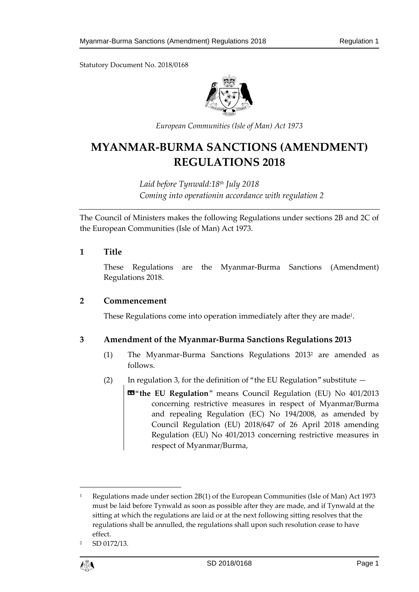Statutory Document No. 2018/0168



*European Communities (Isle of Man) Act 1973*

# **MYANMAR-BURMA SANCTIONS (AMENDMENT) REGULATIONS 2018**

*Laid before Tynwald:18th July 2018 Coming into operationin accordance with regulation 2*

The Council of Ministers makes the following Regulations under sections 2B and 2C of the European Communities (Isle of Man) Act 1973.

#### **1 Title**

These Regulations are the Myanmar-Burma Sanctions (Amendment) Regulations 2018.

#### **2 Commencement**

These Regulations come into operation immediately after they are made<sup>1</sup>.

### **3 Amendment of the Myanmar-Burma Sanctions Regulations 2013**

- (1) The Myanmar-Burma Sanctions Regulations 2013<sup>2</sup> are amended as follows.
- (2) In regulation 3, for the definition of "the EU Regulation" substitute
	- «"**the EU Regulation**" means Council Regulation (EU) No 401/2013 concerning restrictive measures in respect of Myanmar/Burma and repealing Regulation (EC) No 194/2008, as amended by Council Regulation (EU) 2018/647 of 26 April 2018 amending Regulation (EU) No 401/2013 concerning restrictive measures in respect of Myanmar/Burma,

<sup>2</sup> SD 0172/13.



 $\overline{a}$ 

<sup>&</sup>lt;sup>1</sup> Regulations made under section 2B(1) of the European Communities (Isle of Man) Act 1973 must be laid before Tynwald as soon as possible after they are made, and if Tynwald at the sitting at which the regulations are laid or at the next following sitting resolves that the regulations shall be annulled, the regulations shall upon such resolution cease to have effect.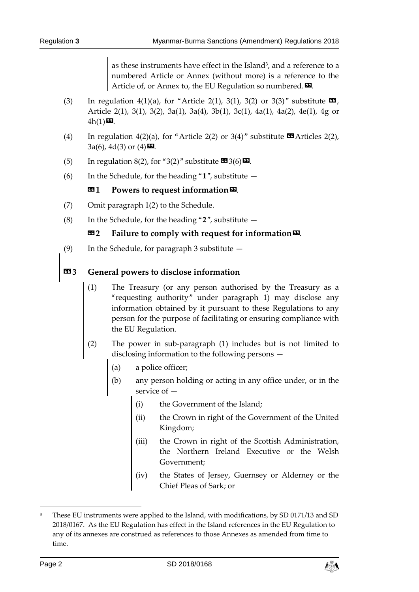as these instruments have effect in the Island<sup>3</sup>, and a reference to a numbered Article or Annex (without more) is a reference to the Article of, or Annex to, the EU Regulation so numbered. $\mathbf{D}$ .

- (3) In regulation 4(1)(a), for "Article 2(1), 3(1), 3(2) or 3(3)" substitute  $\blacksquare$ , Article 2(1), 3(1), 3(2), 3a(1), 3a(4), 3b(1), 3c(1), 4a(1), 4a(2), 4e(1), 4g or  $4h(1)$  $\mathbf{D}$ .
- (4) In regulation 4(2)(a), for "Article 2(2) or 3(4)" substitute  $\blacksquare$  Articles 2(2),  $3a(6)$ ,  $4d(3)$  or  $(4)$   $\Box$ .
- (5) In regulation 8(2), for "3(2)" substitute  $\mathbf{C}$ 3(6) $\mathbf{D}$ .
- (6) In the Schedule, for the heading "**1**", substitute —

# **131** Powers to request information<sup>52</sup>.

- (7) Omit paragraph 1(2) to the Schedule.
- (8) In the Schedule, for the heading "**2**", substitute —

# **EXECUTE:** Failure to comply with request for information

(9) In the Schedule, for paragraph 3 substitute —

# **«3 General powers to disclose information**

- (1) The Treasury (or any person authorised by the Treasury as a "requesting authority" under paragraph 1) may disclose any information obtained by it pursuant to these Regulations to any person for the purpose of facilitating or ensuring compliance with the EU Regulation.
- (2) The power in sub-paragraph (1) includes but is not limited to disclosing information to the following persons —
	- (a) a police officer;
	- (b) any person holding or acting in any office under, or in the service of —
		- (i) the Government of the Island;
		- (ii) the Crown in right of the Government of the United Kingdom;
		- (iii) the Crown in right of the Scottish Administration, the Northern Ireland Executive or the Welsh Government;
		- (iv) the States of Jersey, Guernsey or Alderney or the Chief Pleas of Sark; or

-



<sup>&</sup>lt;sup>3</sup> These EU instruments were applied to the Island, with modifications, by SD 0171/13 and SD 2018/0167. As the EU Regulation has effect in the Island references in the EU Regulation to any of its annexes are construed as references to those Annexes as amended from time to time.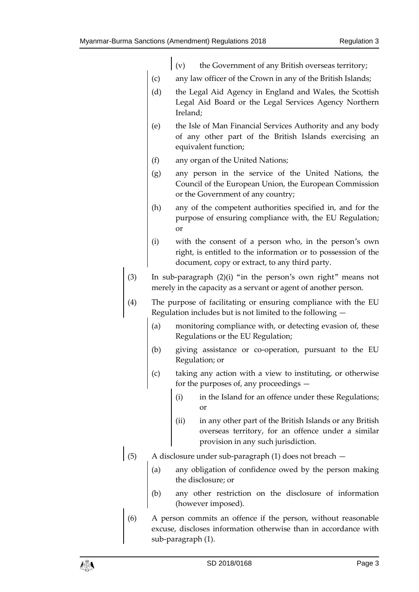- $\vert$  (v) the Government of any British overseas territory;
- (c) any law officer of the Crown in any of the British Islands;
- (d) the Legal Aid Agency in England and Wales, the Scottish Legal Aid Board or the Legal Services Agency Northern Ireland;
- (e) the Isle of Man Financial Services Authority and any body of any other part of the British Islands exercising an equivalent function;
- (f) any organ of the United Nations;
- (g) any person in the service of the United Nations, the Council of the European Union, the European Commission or the Government of any country;
- (h) any of the competent authorities specified in, and for the purpose of ensuring compliance with, the EU Regulation; or
- (i) with the consent of a person who, in the person's own right, is entitled to the information or to possession of the document, copy or extract, to any third party.
- (3) In sub-paragraph (2)(i) "in the person's own right" means not merely in the capacity as a servant or agent of another person.
- (4) The purpose of facilitating or ensuring compliance with the EU Regulation includes but is not limited to the following —
	- (a) monitoring compliance with, or detecting evasion of, these Regulations or the EU Regulation;
	- (b) giving assistance or co-operation, pursuant to the EU Regulation; or
	- (c) taking any action with a view to instituting, or otherwise for the purposes of, any proceedings —
		- (i) in the Island for an offence under these Regulations; or
		- (ii) in any other part of the British Islands or any British overseas territory, for an offence under a similar provision in any such jurisdiction.
- (5) A disclosure under sub-paragraph (1) does not breach
	- (a) any obligation of confidence owed by the person making the disclosure; or
	- (b) any other restriction on the disclosure of information (however imposed).
	- (6) A person commits an offence if the person, without reasonable excuse, discloses information otherwise than in accordance with sub-paragraph (1).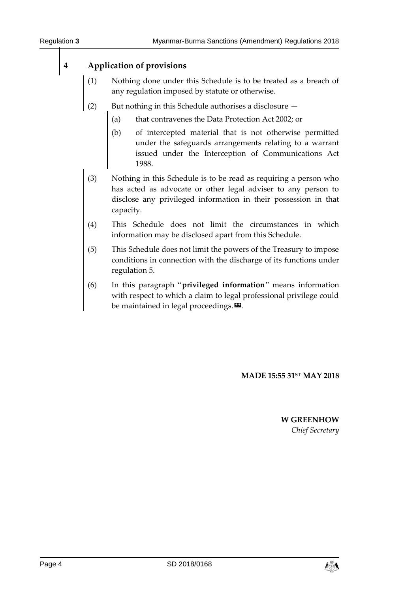# **4 Application of provisions**

- (1) Nothing done under this Schedule is to be treated as a breach of any regulation imposed by statute or otherwise.
- (2) But nothing in this Schedule authorises a disclosure  $-$ 
	- (a) that contravenes the Data Protection Act 2002; or
	- (b) of intercepted material that is not otherwise permitted under the safeguards arrangements relating to a warrant issued under the Interception of Communications Act 1988.
- (3) Nothing in this Schedule is to be read as requiring a person who has acted as advocate or other legal adviser to any person to disclose any privileged information in their possession in that capacity.
- (4) This Schedule does not limit the circumstances in which information may be disclosed apart from this Schedule.
- (5) This Schedule does not limit the powers of the Treasury to impose conditions in connection with the discharge of its functions under regulation 5.
- (6) In this paragraph "**privileged information**" means information with respect to which a claim to legal professional privilege could be maintained in legal proceedings. $\boldsymbol{\mathsf{E}}$ .

**MADE 15:55 31ST MAY 2018**

**W GREENHOW** *Chief Secretary*